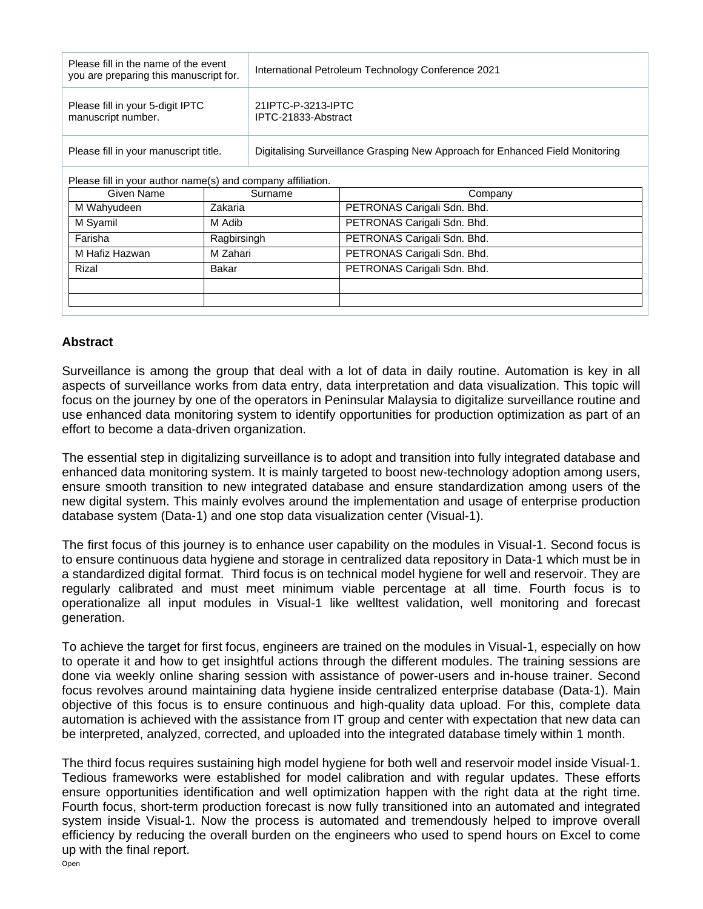| Please fill in the name of the event<br>you are preparing this manuscript for. |             | International Petroleum Technology Conference 2021                            |                             |
|--------------------------------------------------------------------------------|-------------|-------------------------------------------------------------------------------|-----------------------------|
| Please fill in your 5-digit IPTC<br>manuscript number.                         |             | 21IPTC-P-3213-IPTC<br>IPTC-21833-Abstract                                     |                             |
| Please fill in your manuscript title.                                          |             | Digitalising Surveillance Grasping New Approach for Enhanced Field Monitoring |                             |
| Please fill in your author name(s) and company affiliation.                    |             |                                                                               |                             |
| Given Name                                                                     | Surname     |                                                                               | Company                     |
| M Wahyudeen                                                                    | Zakaria     |                                                                               | PETRONAS Carigali Sdn. Bhd. |
| M Syamil                                                                       | M Adib      |                                                                               | PETRONAS Carigali Sdn. Bhd. |
| Farisha                                                                        | Ragbirsingh |                                                                               | PETRONAS Carigali Sdn. Bhd. |

M Hafiz Hazwan | M Zahari | PETRONAS Carigali Sdn. Bhd. Rizal Bakar PETRONAS Carigali Sdn. Bhd.

## **Abstract**

Surveillance is among the group that deal with a lot of data in daily routine. Automation is key in all aspects of surveillance works from data entry, data interpretation and data visualization. This topic will focus on the journey by one of the operators in Peninsular Malaysia to digitalize surveillance routine and use enhanced data monitoring system to identify opportunities for production optimization as part of an effort to become a data-driven organization.

The essential step in digitalizing surveillance is to adopt and transition into fully integrated database and enhanced data monitoring system. It is mainly targeted to boost new-technology adoption among users, ensure smooth transition to new integrated database and ensure standardization among users of the new digital system. This mainly evolves around the implementation and usage of enterprise production database system (Data-1) and one stop data visualization center (Visual-1).

The first focus of this journey is to enhance user capability on the modules in Visual-1. Second focus is to ensure continuous data hygiene and storage in centralized data repository in Data-1 which must be in a standardized digital format. Third focus is on technical model hygiene for well and reservoir. They are regularly calibrated and must meet minimum viable percentage at all time. Fourth focus is to operationalize all input modules in Visual-1 like welltest validation, well monitoring and forecast generation.

To achieve the target for first focus, engineers are trained on the modules in Visual-1, especially on how to operate it and how to get insightful actions through the different modules. The training sessions are done via weekly online sharing session with assistance of power-users and in-house trainer. Second focus revolves around maintaining data hygiene inside centralized enterprise database (Data-1). Main objective of this focus is to ensure continuous and high-quality data upload. For this, complete data automation is achieved with the assistance from IT group and center with expectation that new data can be interpreted, analyzed, corrected, and uploaded into the integrated database timely within 1 month.

The third focus requires sustaining high model hygiene for both well and reservoir model inside Visual-1. Tedious frameworks were established for model calibration and with regular updates. These efforts ensure opportunities identification and well optimization happen with the right data at the right time. Fourth focus, short-term production forecast is now fully transitioned into an automated and integrated system inside Visual-1. Now the process is automated and tremendously helped to improve overall efficiency by reducing the overall burden on the engineers who used to spend hours on Excel to come up with the final report.